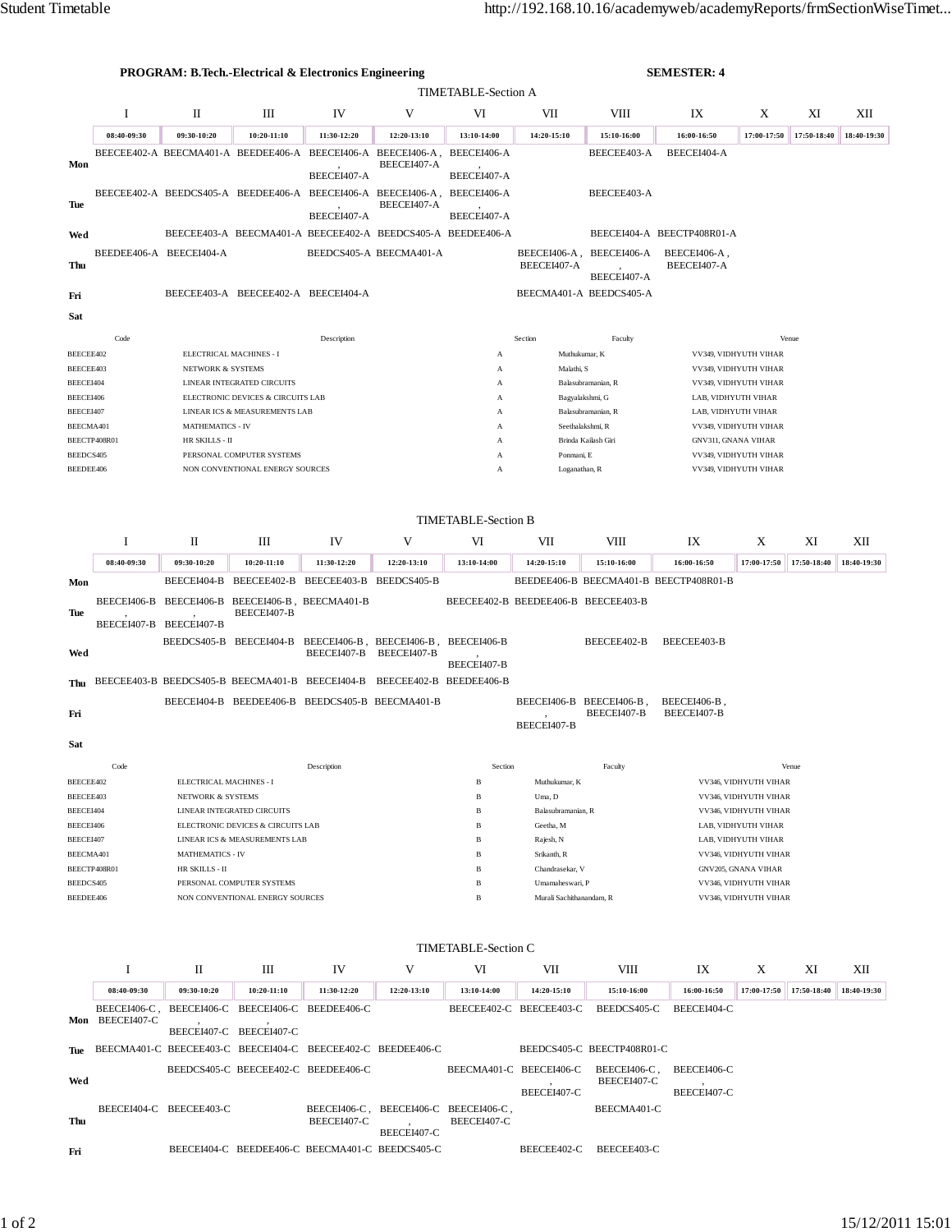|                            | <b>PROGRAM: B.Tech.-Electrical &amp; Electronics Engineering</b> |                                                                 |                                                             |                                                             |                                                                         |                          |                                                                                | <b>SEMESTER: 4</b>                      |                                              |                                                |             |             |  |  |  |
|----------------------------|------------------------------------------------------------------|-----------------------------------------------------------------|-------------------------------------------------------------|-------------------------------------------------------------|-------------------------------------------------------------------------|--------------------------|--------------------------------------------------------------------------------|-----------------------------------------|----------------------------------------------|------------------------------------------------|-------------|-------------|--|--|--|
|                            | TIMETABLE-Section A                                              |                                                                 |                                                             |                                                             |                                                                         |                          |                                                                                |                                         |                                              |                                                |             |             |  |  |  |
|                            | 1                                                                | П                                                               | Ш                                                           | IV                                                          | V                                                                       | VI                       | VII                                                                            | VIII                                    | IX                                           | X                                              | XI          | XІІ         |  |  |  |
|                            | 08:40-09:30                                                      | 09:30-10:20                                                     | 10:20-11:10                                                 | 11:30-12:20                                                 | 12:20-13:10                                                             | 13:10-14:00              | 14:20-15:10                                                                    | 15:10-16:00                             | 16:00-16:50                                  | 17:00-17:50                                    | 17:50-18:40 | 18:40-19:30 |  |  |  |
| Mon<br>Tue                 |                                                                  |                                                                 |                                                             |                                                             | BEECEE402-A BEECMA401-A BEEDEE406-A BEECEI406-A BEECEI406-A,            | BEECEI406-A              |                                                                                | BEECEE403-A                             | BEECEI404-A                                  |                                                |             |             |  |  |  |
|                            | BEEDEE406-A BEECEI404-A                                          |                                                                 |                                                             | BEECEI407-A                                                 | BEECEI407-A                                                             | BEECEI407-A              |                                                                                |                                         |                                              |                                                |             |             |  |  |  |
|                            |                                                                  |                                                                 |                                                             |                                                             | BEECEE402-A BEEDCS405-A BEEDEE406-A BEECEI406-A BEECEI406-A,            | BEECEI406-A              |                                                                                | BEECEE403-A                             |                                              |                                                |             |             |  |  |  |
|                            |                                                                  |                                                                 |                                                             | BEECEI407-A                                                 | BEECEI407-A                                                             | BEECEI407-A              |                                                                                |                                         |                                              |                                                |             |             |  |  |  |
| Wed                        |                                                                  |                                                                 | BEECEE403-A BEECMA401-A BEECEE402-A BEEDCS405-A BEEDEE406-A |                                                             | BEEDCS405-A BEECMA401-A                                                 |                          |                                                                                |                                         | BEECEI404-A BEECTP408R01-A                   |                                                |             |             |  |  |  |
|                            |                                                                  |                                                                 |                                                             |                                                             |                                                                         |                          |                                                                                | BEECEI406-A, BEECEI406-A                | BEECEI406-A,                                 |                                                |             |             |  |  |  |
| Thu                        |                                                                  |                                                                 |                                                             |                                                             |                                                                         |                          | BEECEI407-A                                                                    |                                         | BEECEI407-A                                  |                                                |             |             |  |  |  |
|                            |                                                                  |                                                                 | BEECEE403-A BEECEE402-A BEECEI404-A                         |                                                             |                                                                         |                          |                                                                                | BEECEI407-A<br>BEECMA401-A BEEDCS405-A  |                                              |                                                |             |             |  |  |  |
| Fri                        |                                                                  |                                                                 |                                                             |                                                             |                                                                         |                          |                                                                                |                                         |                                              |                                                |             |             |  |  |  |
|                            | Sat                                                              |                                                                 |                                                             |                                                             |                                                                         |                          |                                                                                |                                         |                                              |                                                |             |             |  |  |  |
|                            | Code                                                             | Description                                                     |                                                             |                                                             |                                                                         |                          | Section<br>Faculty<br>Venue                                                    |                                         |                                              |                                                |             |             |  |  |  |
| BEECEE402<br>BEECEE403     |                                                                  |                                                                 | ELECTRICAL MACHINES - I                                     |                                                             |                                                                         | A                        | Muthukumar, K<br>Malathi, S                                                    |                                         |                                              | VV349, VIDHYUTH VIHAR<br>VV349, VIDHYUTH VIHAR |             |             |  |  |  |
| BEECEI404                  |                                                                  | <b>NETWORK &amp; SYSTEMS</b><br>LINEAR INTEGRATED CIRCUITS      |                                                             |                                                             |                                                                         | А<br>A                   |                                                                                | Balasubramanian, R                      |                                              | VV349, VIDHYUTH VIHAR                          |             |             |  |  |  |
| BEECEI406                  |                                                                  | ELECTRONIC DEVICES & CIRCUITS LAB                               |                                                             |                                                             |                                                                         | A                        |                                                                                | Bagyalakshmi, G                         | LAB, VIDHYUTH VIHAR                          |                                                |             |             |  |  |  |
| BEECEI407                  |                                                                  |                                                                 | LINEAR ICS & MEASUREMENTS LAB                               |                                                             |                                                                         | А<br>A                   | LAB, VIDHYUTH VIHAR                                                            |                                         |                                              |                                                |             |             |  |  |  |
| BEECMA401                  | BEECTP408R01                                                     | <b>MATHEMATICS - IV</b><br>HR SKILLS - II                       | A                                                           |                                                             |                                                                         |                          |                                                                                | Seethalakshmi, R<br>Brinda Kailash Giri | <b>GNV311, GNANA VIHAR</b>                   | VV349, VIDHYUTH VIHAR                          |             |             |  |  |  |
| BEEDCS405                  |                                                                  |                                                                 | PERSONAL COMPUTER SYSTEMS                                   |                                                             |                                                                         | А                        | Ponmani, E                                                                     |                                         | VV349, VIDHYUTH VIHAR                        |                                                |             |             |  |  |  |
| BEEDEE406                  |                                                                  |                                                                 | NON CONVENTIONAL ENERGY SOURCES<br>A                        |                                                             |                                                                         |                          |                                                                                | Loganathan, R                           | VV349, VIDHYUTH VIHAR                        |                                                |             |             |  |  |  |
|                            |                                                                  |                                                                 |                                                             |                                                             |                                                                         |                          |                                                                                |                                         |                                              |                                                |             |             |  |  |  |
|                            | <b>TIMETABLE-Section B</b>                                       |                                                                 |                                                             |                                                             |                                                                         |                          |                                                                                |                                         |                                              |                                                |             |             |  |  |  |
|                            | Ι                                                                | П                                                               | Ш                                                           | IV                                                          | V                                                                       | VI                       | VII                                                                            | VIII                                    | IX                                           | Χ                                              | XI          | XІІ         |  |  |  |
|                            |                                                                  |                                                                 |                                                             |                                                             |                                                                         |                          |                                                                                |                                         |                                              |                                                |             |             |  |  |  |
|                            | 08:40-09:30                                                      | 09:30-10:20                                                     | 10:20-11:10                                                 | 11:30-12:20                                                 | 12:20-13:10                                                             | 13:10-14:00              | 14:20-15:10                                                                    | 15:10-16:00                             | 16:00-16:50                                  | 17:00-17:50                                    | 17:50-18:40 | 18:40-19:30 |  |  |  |
| Mon                        |                                                                  |                                                                 |                                                             | BEECEI404-B BEECEE402-B BEECEE403-B BEEDCS405-B             |                                                                         |                          |                                                                                |                                         | BEEDEE406-B BEECMA401-B BEECTP408R01-B       |                                                |             |             |  |  |  |
| Tue                        |                                                                  |                                                                 | BEECEI407-B                                                 | BEECEI406-B BEECEI406-B BEECEI406-B, BEECMA401-B            |                                                                         |                          | BEECEE402-B BEEDEE406-B BEECEE403-B                                            |                                         |                                              |                                                |             |             |  |  |  |
|                            | BEECEI407-B BEECEI407-B                                          |                                                                 |                                                             |                                                             |                                                                         |                          |                                                                                |                                         |                                              |                                                |             |             |  |  |  |
| Wed                        |                                                                  | BEEDCS405-B BEECEI404-B                                         |                                                             | BEECEI407-B                                                 | BEECEI406-B, BEECEI406-B,<br>BEECEI407-B                                | BEECEI406-B              |                                                                                | BEECEE402-B                             | BEECEE403-B                                  |                                                |             |             |  |  |  |
|                            |                                                                  |                                                                 |                                                             |                                                             |                                                                         | BEECEI407-B              |                                                                                |                                         |                                              |                                                |             |             |  |  |  |
| Thu                        |                                                                  |                                                                 |                                                             |                                                             | BEECEE403-B BEEDCS405-B BEECMA401-B BEECEI404-B BEECEE402-B BEEDEE406-B |                          |                                                                                |                                         |                                              |                                                |             |             |  |  |  |
| Fri                        |                                                                  |                                                                 | BEECEI404-B BEEDEE406-B BEEDCS405-B BEECMA401-B             |                                                             |                                                                         |                          |                                                                                | BEECEI406-B BEECEI406-B,<br>BEECEI407-B | BEECEI406-B<br>BEECEI407-B                   |                                                |             |             |  |  |  |
|                            |                                                                  |                                                                 |                                                             |                                                             |                                                                         |                          | BEECEI407-B                                                                    |                                         |                                              |                                                |             |             |  |  |  |
| Sat                        |                                                                  |                                                                 |                                                             |                                                             |                                                                         |                          |                                                                                |                                         |                                              |                                                |             |             |  |  |  |
|                            | Code                                                             |                                                                 |                                                             | Description                                                 |                                                                         | Section                  |                                                                                | Faculty                                 |                                              |                                                | Venue       |             |  |  |  |
| BEECEE402                  |                                                                  | ELECTRICAL MACHINES - I                                         |                                                             |                                                             |                                                                         | B                        | Muthukumar, K                                                                  |                                         | VV346, VIDHYUTH VIHAR                        |                                                |             |             |  |  |  |
| BEECEE403                  |                                                                  | NETWORK & SYSTEMS                                               |                                                             |                                                             |                                                                         | B                        | Uma, D<br>VV346, VIDHYUTH VIHAR<br>Balasubramanian, R<br>VV346, VIDHYUTH VIHAR |                                         |                                              |                                                |             |             |  |  |  |
| BEECEI404<br>BEECEI406     |                                                                  | LINEAR INTEGRATED CIRCUITS<br>ELECTRONIC DEVICES & CIRCUITS LAB |                                                             |                                                             |                                                                         | B<br>B                   | Geetha, M                                                                      |                                         |                                              | LAB, VIDHYUTH VIHAR                            |             |             |  |  |  |
| BEECEI407                  |                                                                  | LINEAR ICS & MEASUREMENTS LAB                                   |                                                             |                                                             |                                                                         | B                        | Rajesh, N                                                                      |                                         |                                              | LAB, VIDHYUTH VIHAR                            |             |             |  |  |  |
| BEECMA401                  |                                                                  | <b>MATHEMATICS - IV</b>                                         |                                                             |                                                             |                                                                         | B                        | Srikanth, R                                                                    |                                         | VV346, VIDHYUTH VIHAR                        |                                                |             |             |  |  |  |
| BEECTP408R01<br>BEEDCS405  |                                                                  | HR SKILLS - II<br>PERSONAL COMPUTER SYSTEMS                     |                                                             |                                                             |                                                                         | B<br>B                   | Chandrasekar, V<br>Umamaheswari, P                                             |                                         | GNV205, GNANA VIHAR<br>VV346, VIDHYUTH VIHAR |                                                |             |             |  |  |  |
| BEEDEE406                  |                                                                  | NON CONVENTIONAL ENERGY SOURCES                                 |                                                             |                                                             | B                                                                       | Murali Sachithanandam, R |                                                                                | VV346, VIDHYUTH VIHAR                   |                                              |                                                |             |             |  |  |  |
|                            |                                                                  |                                                                 |                                                             |                                                             |                                                                         |                          |                                                                                |                                         |                                              |                                                |             |             |  |  |  |
| <b>TIMETABLE-Section C</b> |                                                                  |                                                                 |                                                             |                                                             |                                                                         |                          |                                                                                |                                         |                                              |                                                |             |             |  |  |  |
|                            |                                                                  |                                                                 |                                                             |                                                             |                                                                         |                          |                                                                                |                                         |                                              |                                                |             |             |  |  |  |
|                            | <b>I</b>                                                         | П                                                               | Ш                                                           | IV                                                          | V                                                                       | VI                       | VII                                                                            | VIII                                    | IX                                           | X                                              | XI          | XII         |  |  |  |
|                            | 08:40-09:30                                                      | 09:30-10:20                                                     | 10:20-11:10                                                 | 11:30-12:20                                                 | 12:20-13:10                                                             | 13:10-14:00              | 14:20-15:10                                                                    | 15:10-16:00                             | 16:00-16:50                                  | 17:00-17:50                                    | 17:50-18:40 | 18:40-19:30 |  |  |  |
|                            | BEECEI406-C,<br>Mon BEECEI407-C                                  |                                                                 | BEECEI406-C BEECEI406-C BEEDEE406-C                         |                                                             |                                                                         |                          | BEECEE402-C BEECEE403-C                                                        | BEEDCS405-C                             | BEECEI404-C                                  |                                                |             |             |  |  |  |
|                            |                                                                  |                                                                 | BEECEI407-C BEECEI407-C                                     |                                                             |                                                                         |                          |                                                                                |                                         |                                              |                                                |             |             |  |  |  |
| Tue                        |                                                                  |                                                                 |                                                             | BEECMA401-C BEECEE403-C BEECEI404-C BEECEE402-C BEEDEE406-C |                                                                         |                          |                                                                                | BEEDCS405-C BEECTP408R01-C              |                                              |                                                |             |             |  |  |  |
| Wed                        |                                                                  |                                                                 | BEEDCS405-C BEECEE402-C BEEDEE406-C                         |                                                             |                                                                         |                          | BEECMA401-C BEECEI406-C                                                        | BEECEI406-C,<br>BEECEI407-C             | BEECEI406-C                                  |                                                |             |             |  |  |  |
|                            |                                                                  |                                                                 |                                                             |                                                             |                                                                         |                          | BEECEI407-C                                                                    |                                         | BEECEI407-C                                  |                                                |             |             |  |  |  |
|                            |                                                                  | BEECEI404-C BEECEE403-C                                         |                                                             | BEECEI406-C,                                                |                                                                         | BEECEI406-C BEECEI406-C, |                                                                                | BEECMA401-C                             |                                              |                                                |             |             |  |  |  |
| Thu                        |                                                                  |                                                                 |                                                             | BEECEI407-C                                                 | BEECEI407-C                                                             | BEECEI407-C              |                                                                                |                                         |                                              |                                                |             |             |  |  |  |
| Fri                        |                                                                  |                                                                 |                                                             | BEECEI404-C BEEDEE406-C BEECMA401-C BEEDCS405-C             |                                                                         |                          | BEECEE402-C                                                                    | BEECEE403-C                             |                                              |                                                |             |             |  |  |  |